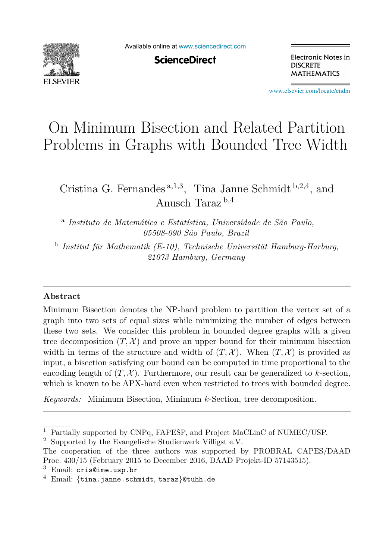

Available online at [www.sciencedirect.com](http://www.sciencedirect.com)

**ScienceDirect** 

Electronic Notes in **DISCRETE MATHEMATICS** 

[www.elsevier.com/locate/endm](http://www.elsevier.com/locate/endm)

# On Minimum Bisection and Related Partition Problems in Graphs with Bounded Tree Width

Cristina G. Fernandes <sup>a</sup>*,*1*,*<sup>3</sup>, Tina Janne Schmidt <sup>b</sup>*,*2*,*<sup>4</sup>, and Anusch Taraz <sup>b</sup>*,*<sup>4</sup>

<sup>a</sup> *Instituto de Matemática e Estatística, Universidade de São Paulo, 05508-090 São Paulo, Brazil*

<sup>b</sup> *Institut für Mathematik (E-10), Technische Universität Hamburg-Harburg, 21073 Hamburg, Germany*

## **Abstract**

Minimum Bisection denotes the NP-hard problem to partition the vertex set of a graph into two sets of equal sizes while minimizing the number of edges between these two sets. We consider this problem in bounded degree graphs with a given tree decomposition  $(T, \mathcal{X})$  and prove an upper bound for their minimum bisection width in terms of the structure and width of  $(T, \mathcal{X})$ . When  $(T, \mathcal{X})$  is provided as input, a bisection satisfying our bound can be computed in time proportional to the encoding length of  $(T, \mathcal{X})$ . Furthermore, our result can be generalized to *k*-section, which is known to be APX-hard even when restricted to trees with bounded degree.

*Keywords:* Minimum Bisection, Minimum *k*-Section, tree decomposition.

<sup>1</sup> Partially supported by CNPq, FAPESP, and Project MaCLinC of NUMEC/USP.

<sup>2</sup> Supported by the Evangelische Studienwerk Villigst e.V.

The cooperation of the three authors was supported by PROBRAL CAPES/DAAD Proc. 430/15 (February 2015 to December 2016, DAAD Projekt-ID 57143515).

 $3$  Email: cris@ime.usp.br

<sup>4</sup> Email: {tina.janne.schmidt, taraz}@tuhh.de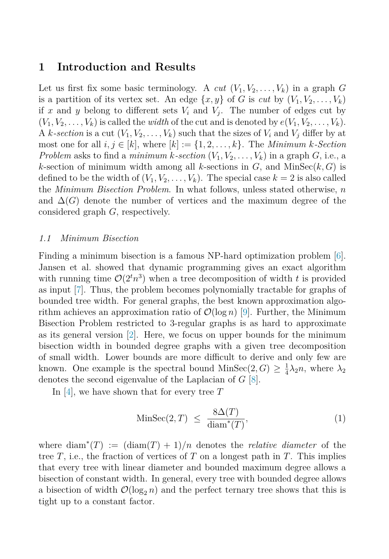## <span id="page-1-0"></span>**1 Introduction and Results**

Let us first fix some basic terminology. A *cut*  $(V_1, V_2, \ldots, V_k)$  in a graph G is a partition of its vertex set. An edge  $\{x, y\}$  of *G* is *cut* by  $(V_1, V_2, \ldots, V_k)$ if x and y belong to different sets  $V_i$  and  $V_j$ . The number of edges cut by  $(V_1, V_2, \ldots, V_k)$  is called the *width* of the cut and is denoted by  $e(V_1, V_2, \ldots, V_k)$ . A *k*-section is a cut  $(V_1, V_2, \ldots, V_k)$  such that the sizes of  $V_i$  and  $V_j$  differ by at most one for all  $i, j \in [k]$ , where  $[k] := \{1, 2, \ldots, k\}$ . The *Minimum k*-*Section Problem* asks to find a *minimum k*-section  $(V_1, V_2, \ldots, V_k)$  in a graph *G*, i.e., a *k*-section of minimum width among all *k*-sections in  $G$ , and MinSec $(k, G)$  is defined to be the width of  $(V_1, V_2, \ldots, V_k)$ . The special case  $k = 2$  is also called the *Minimum Bisection Problem*. In what follows, unless stated otherwise, *n* and  $\Delta(G)$  denote the number of vertices and the maximum degree of the considered graph *G*, respectively.

#### *1.1 Minimum Bisection*

Finding a minimum bisection is a famous NP-hard optimization problem [\[6\]](#page-7-0). Jansen et al. showed that dynamic programming gives an exact algorithm with running time  $\mathcal{O}(2^tn^3)$  when a tree decomposition of width *t* is provided as input [\[7\]](#page-7-0). Thus, the problem becomes polynomially tractable for graphs of bounded tree width. For general graphs, the best known approximation algorithm achieves an approximation ratio of  $\mathcal{O}(\log n)$  [\[9\]](#page-7-0). Further, the Minimum Bisection Problem restricted to 3-regular graphs is as hard to approximate as its general version [\[2\]](#page-7-0). Here, we focus on upper bounds for the minimum bisection width in bounded degree graphs with a given tree decomposition of small width. Lower bounds are more difficult to derive and only few are known. One example is the spectral bound  $\text{MinSec}(2, G) \geq \frac{1}{4}\lambda_2 n$ , where  $\lambda_2$ denotes the second eigenvalue of the Laplacian of *G* [\[8\]](#page-7-0).

In [\[4\]](#page-7-0), we have shown that for every tree *T*

$$
\text{MinSec}(2, T) \le \frac{8\Delta(T)}{\text{diam}^*(T)},\tag{1}
$$

where  $\text{diam}^*(T) := (\text{diam}(T) + 1)/n$  denotes the *relative diameter* of the tree *T*, i.e., the fraction of vertices of *T* on a longest path in *T*. This implies that every tree with linear diameter and bounded maximum degree allows a bisection of constant width. In general, every tree with bounded degree allows a bisection of width  $\mathcal{O}(\log_2 n)$  and the perfect ternary tree shows that this is tight up to a constant factor.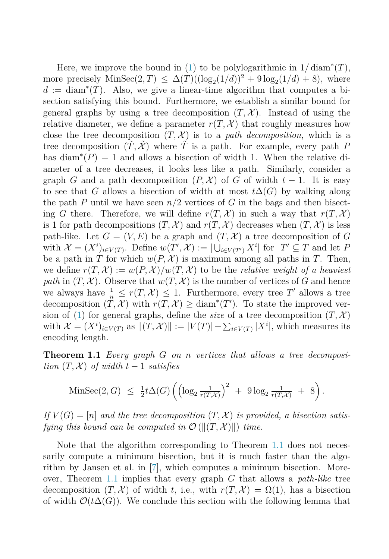<span id="page-2-0"></span>Here, we improve the bound in  $(1)$  to be polylogarithmic in  $1/\operatorname{diam}^*(T)$ , more precisely  $\text{MinSec}(2, T) \leq \Delta(T)((\log_2(1/d))^2 + 9 \log_2(1/d) + 8)$ , where  $d := \text{diam}^*(T)$ . Also, we give a linear-time algorithm that computes a bisection satisfying this bound. Furthermore, we establish a similar bound for general graphs by using a tree decomposition  $(T, \mathcal{X})$ . Instead of using the relative diameter, we define a parameter  $r(T, \mathcal{X})$  that roughly measures how close the tree decomposition  $(T, \mathcal{X})$  is to a *path decomposition*, which is a tree decomposition  $(\tilde{T}, \tilde{\mathcal{X}})$  where  $\tilde{T}$  is a path. For example, every path P has diam<sup>\*</sup> $(P) = 1$  and allows a bisection of width 1. When the relative diameter of a tree decreases, it looks less like a path. Similarly, consider a graph *G* and a path decomposition  $(P, \mathcal{X})$  of *G* of width  $t - 1$ . It is easy to see that *G* allows a bisection of width at most  $t\Delta(G)$  by walking along the path *P* until we have seen  $n/2$  vertices of *G* in the bags and then bisecting *G* there. Therefore, we will define  $r(T, \mathcal{X})$  in such a way that  $r(T, \mathcal{X})$ is 1 for path decompositions  $(T, \mathcal{X})$  and  $r(T, \mathcal{X})$  decreases when  $(T, \mathcal{X})$  is less path-like. Let  $G = (V, E)$  be a graph and  $(T, \mathcal{X})$  a tree decomposition of G with  $\mathcal{X} = (X^i)_{i \in V(T)}$ . Define  $w(T', \mathcal{X}) := |\bigcup_{i \in V(T')} X^i|$  for  $T' \subseteq T$  and let *P* be a path in *T* for which  $w(P, \mathcal{X})$  is maximum among all paths in *T*. Then, we define  $r(T, \mathcal{X}) := w(P, \mathcal{X})/w(T, \mathcal{X})$  to be the *relative weight of a heaviest path* in  $(T, \mathcal{X})$ . Observe that  $w(T, \mathcal{X})$  is the number of vertices of *G* and hence we always have  $\frac{1}{n} \leq r(T, \mathcal{X}) \leq 1$ . Furthermore, every tree T' allows a tree decomposition  $(T, \mathcal{X})$  with  $r(T, \mathcal{X}) \geq \text{diam}^*(T')$ . To state the improved ver-sion of [\(1\)](#page-1-0) for general graphs, define the *size* of a tree decomposition  $(T, \mathcal{X})$ with  $\mathcal{X} = (X^i)_{i \in V(T)}$  as  $||(T, \mathcal{X})|| := |V(T)| + \sum_{i \in V(T)} |X^i|$ , which measures its encoding length.

**Theorem 1.1** *Every graph G on n vertices that allows a tree decomposition*  $(T, \mathcal{X})$  *of width*  $t - 1$  *satisfies* 

$$
\text{MinSec}(2, G) \ \leq \ \frac{1}{2} t \Delta(G) \left( \left( \log_2 \frac{1}{r(T, \mathcal{X})} \right)^2 \ + \ 9 \log_2 \frac{1}{r(T, \mathcal{X})} \ + \ 8 \right).
$$

If  $V(G) = [n]$  and the tree decomposition  $(T, \mathcal{X})$  is provided, a bisection satis*fying this bound can be computed in*  $\mathcal{O}(\left\Vert(T, \mathcal{X})\right\Vert)$  *time.* 

Note that the algorithm corresponding to Theorem 1.1 does not necessarily compute a minimum bisection, but it is much faster than the algorithm by Jansen et al. in [\[7\]](#page-7-0), which computes a minimum bisection. Moreover, Theorem 1.1 implies that every graph *G* that allows a *path-like* tree decomposition  $(T, \mathcal{X})$  of width *t*, i.e., with  $r(T, \mathcal{X}) = \Omega(1)$ , has a bisection of width  $\mathcal{O}(t\Delta(G))$ . We conclude this section with the following lemma that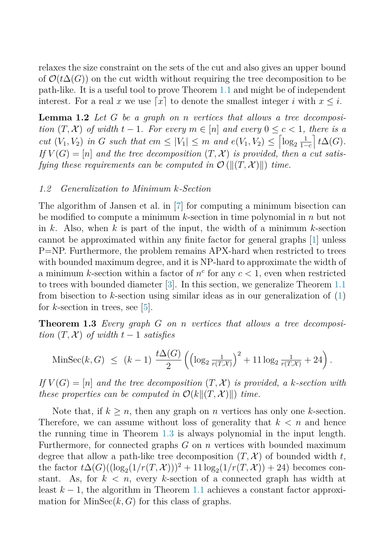<span id="page-3-0"></span>relaxes the size constraint on the sets of the cut and also gives an upper bound of  $\mathcal{O}(t\Delta(G))$  on the cut width without requiring the tree decomposition to be path-like. It is a useful tool to prove Theorem [1.1](#page-2-0) and might be of independent interest. For a real x we use  $x \mid x$  to denote the smallest integer i with  $x \leq i$ .

**Lemma 1.2** *Let G be a graph on n vertices that allows a tree decomposition*  $(T, \mathcal{X})$  *of width*  $t - 1$ *. For every*  $m \in [n]$  *and every*  $0 \leq c < 1$ *, there is a cut*  $(V_1, V_2)$  *in G such that*  $cm \leq |V_1| \leq m$  *and*  $e(V_1, V_2) \leq \left[ \log_2 \frac{1}{1 - \epsilon} \right]$ 1−*c*  $\bigl| t\Delta(G).$ If  $V(G) = [n]$  *and the tree decomposition*  $(T, \mathcal{X})$  *is provided, then a cut satisfying these requirements can be computed in*  $\mathcal{O}(\left\Vert(T, \mathcal{X})\right\Vert)$  *time.* 

#### *1.2 Generalization to Minimum k-Section*

The algorithm of Jansen et al. in [\[7\]](#page-7-0) for computing a minimum bisection can be modified to compute a minimum *k*-section in time polynomial in *n* but not in *k*. Also, when *k* is part of the input, the width of a minimum *k*-section cannot be approximated within any finite factor for general graphs [\[1\]](#page-7-0) unless P=NP. Furthermore, the problem remains APX-hard when restricted to trees with bounded maximum degree, and it is NP-hard to approximate the width of a minimum *k*-section within a factor of  $n^c$  for any  $c < 1$ , even when restricted to trees with bounded diameter [\[3\]](#page-7-0). In this section, we generalize Theorem [1.1](#page-2-0) from bisection to *k*-section using similar ideas as in our generalization of [\(1\)](#page-1-0) for *k*-section in trees, see [\[5\]](#page-7-0).

**Theorem 1.3** *Every graph G on n vertices that allows a tree decomposition*  $(T, \mathcal{X})$  *of width*  $t - 1$  *satisfies* 

$$
\text{MinSec}(k, G) \ \le \ (k-1) \ \frac{t\Delta(G)}{2} \left( \left( \log_2 \frac{1}{r(T, \mathcal{X})} \right)^2 + 11 \log_2 \frac{1}{r(T, \mathcal{X})} + 24 \right).
$$

 $If V(G) = [n]$  *and the tree decomposition*  $(T, \mathcal{X})$  *is provided, a k*-section with *these properties can be computed in*  $\mathcal{O}(k||(T, \mathcal{X})|)$  *time.* 

Note that, if  $k \geq n$ , then any graph on *n* vertices has only one *k*-section. Therefore, we can assume without loss of generality that  $k < n$  and hence the running time in Theorem 1.3 is always polynomial in the input length. Furthermore, for connected graphs *G* on *n* vertices with bounded maximum degree that allow a path-like tree decomposition  $(T, \mathcal{X})$  of bounded width t, the factor  $t\Delta(G)((\log_2(1/r(T,\mathcal{X})))^2 + 11 \log_2(1/r(T,\mathcal{X})) + 24)$  becomes constant. As, for  $k < n$ , every *k*-section of a connected graph has width at least *<sup>k</sup>* <sup>−</sup> 1, the algorithm in Theorem [1.1](#page-2-0) achieves a constant factor approximation for  $MinSec(k, G)$  for this class of graphs.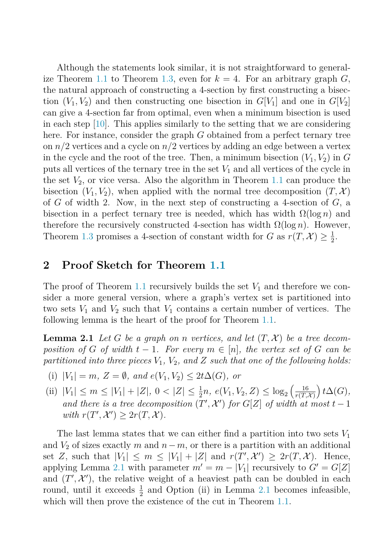<span id="page-4-0"></span>Although the statements look similar, it is not straightforward to general-ize Theorem [1.1](#page-2-0) to Theorem [1.3,](#page-3-0) even for  $k = 4$ . For an arbitrary graph  $G$ , the natural approach of constructing a 4-section by first constructing a bisection  $(V_1, V_2)$  and then constructing one bisection in  $G[V_1]$  and one in  $G[V_2]$ can give a 4-section far from optimal, even when a minimum bisection is used in each step [\[10\]](#page-7-0). This applies similarly to the setting that we are considering here. For instance, consider the graph *G* obtained from a perfect ternary tree on *n/*2 vertices and a cycle on *n/*2 vertices by adding an edge between a vertex in the cycle and the root of the tree. Then, a minimum bisection  $(V_1, V_2)$  in  $G$ puts all vertices of the ternary tree in the set *V*<sup>1</sup> and all vertices of the cycle in the set  $V_2$ , or vice versa. Also the algorithm in Theorem [1.1](#page-2-0) can produce the bisection  $(V_1, V_2)$ , when applied with the normal tree decomposition  $(T, \mathcal{X})$ of *G* of width 2. Now, in the next step of constructing a 4-section of *G*, a bisection in a perfect ternary tree is needed, which has width  $\Omega(\log n)$  and therefore the recursively constructed 4-section has width  $\Omega(\log n)$ . However, Theorem [1.3](#page-3-0) promises a 4-section of constant width for *G* as  $r(T, \mathcal{X}) \geq \frac{1}{2}$ .

# **2 Proof Sketch for Theorem [1.1](#page-2-0)**

The proof of Theorem [1.1](#page-2-0) recursively builds the set  $V_1$  and therefore we consider a more general version, where a graph's vertex set is partitioned into two sets  $V_1$  and  $V_2$  such that  $V_1$  contains a certain number of vertices. The following lemma is the heart of the proof for Theorem [1.1.](#page-2-0)

**Lemma 2.1** *Let G be a graph on n vertices, and let*  $(T, \mathcal{X})$  *be a tree decomposition of G of width*  $t - 1$ *. For every*  $m \in [n]$ *, the vertex set of G can be partitioned into three pieces V*1*, V*2*, and Z such that one of the following holds:*

- (i)  $|V_1| = m$ ,  $Z = \emptyset$ , and  $e(V_1, V_2) \leq 2t\Delta(G)$ , or
- (ii)  $|V_1| \leq m \leq |V_1| + |Z|, 0 < |Z| \leq \frac{1}{2}n, e(V_1, V_2, Z) \leq \log_2\left(\frac{16}{r(T, \dots)}\right)$  $r(T, \mathcal{X})$  $\big) t\Delta(G)$ *and there is a tree decomposition*  $(T', \mathcal{X}')$  *for*  $G[Z]$  *of width at most*  $t - 1$  $with r(T', \mathcal{X}') \geq 2r(T, \mathcal{X})$ *.*

The last lemma states that we can either find a partition into two sets *V*<sup>1</sup> and  $V_2$  of sizes exactly  $m$  and  $n-m$ , or there is a partition with an additional set *Z*, such that  $|V_1| \leq m \leq |V_1| + |Z|$  and  $r(T', \mathcal{X}') \geq 2r(T, \mathcal{X})$ . Hence, applying Lemma 2.1 with parameter  $m' = m - |V_1|$  recursively to  $G' = G[Z]$ and  $(T', \mathcal{X}')$ , the relative weight of a heaviest path can be doubled in each round, until it exceeds  $\frac{1}{2}$  and Option (ii) in Lemma 2.1 becomes infeasible, which will then prove the existence of the cut in Theorem [1.1.](#page-2-0)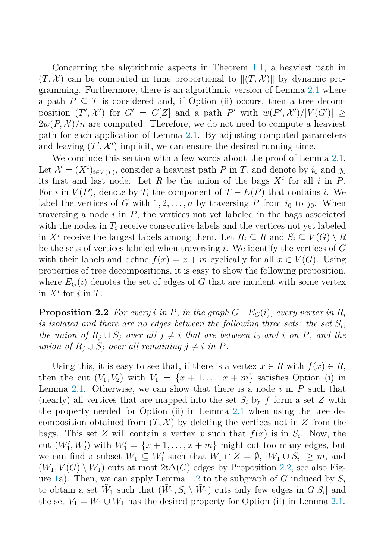<span id="page-5-0"></span>Concerning the algorithmic aspects in Theorem [1.1,](#page-2-0) a heaviest path in  $(T, \mathcal{X})$  can be computed in time proportional to  $\|(T, \mathcal{X})\|$  by dynamic programming. Furthermore, there is an algorithmic version of Lemma [2.1](#page-4-0) where a path  $P \subseteq T$  is considered and, if Option (ii) occurs, then a tree decomposition  $(T', \mathcal{X}')$  for  $G' = G[Z]$  and a path  $P'$  with  $w(P', \mathcal{X}')/|V(G')| \ge$  $2w(P, \mathcal{X})/n$  are computed. Therefore, we do not need to compute a heaviest path for each application of Lemma [2.1.](#page-4-0) By adjusting computed parameters and leaving  $(T', \mathcal{X}')$  implicit, we can ensure the desired running time.

We conclude this section with a few words about the proof of Lemma [2.1.](#page-4-0) Let  $\mathcal{X} = (X^i)_{i \in V(T)}$ , consider a heaviest path *P* in *T*, and denote by *i*<sub>0</sub> and *j*<sub>0</sub> its first and last node. Let *R* be the union of the bags  $X^i$  for all *i* in *P*. For *i* in  $V(P)$ , denote by  $T_i$  the component of  $T - E(P)$  that contains *i*. We label the vertices of *G* with  $1, 2, ..., n$  by traversing *P* from  $i_0$  to  $j_0$ . When traversing a node *i* in *P*, the vertices not yet labeled in the bags associated with the nodes in  $T_i$  receive consecutive labels and the vertices not yet labeled in  $X^i$  receive the largest labels among them. Let  $R_i \subseteq R$  and  $S_i \subseteq V(G) \setminus R$ be the sets of vertices labeled when traversing *i*. We identify the vertices of *G* with their labels and define  $f(x) = x + m$  cyclically for all  $x \in V(G)$ . Using properties of tree decompositions, it is easy to show the following proposition, where  $E_G(i)$  denotes the set of edges of G that are incident with some vertex in  $X^i$  for  $i$  in  $T$ .

**Proposition 2.2** *For every i* in *P*, in the graph  $G - E_G(i)$ , every vertex in  $R_i$ *is isolated and there are no edges between the following three sets: the set*  $S_i$ , *the union of*  $R_i \cup S_j$  *over all*  $j \neq i$  *that are between*  $i_0$  *and i on*  $P$ *, and the union of*  $R_i \cup S_j$  *over all remaining*  $j \neq i$  *in*  $P$ *.* 

Using this, it is easy to see that, if there is a vertex  $x \in R$  with  $f(x) \in R$ , then the cut  $(V_1, V_2)$  with  $V_1 = \{x + 1, \ldots, x + m\}$  satisfies Option (i) in Lemma [2.1.](#page-4-0) Otherwise, we can show that there is a node *i* in *P* such that (nearly) all vertices that are mapped into the set  $S_i$  by  $f$  form a set  $Z$  with the property needed for Option (ii) in Lemma [2.1](#page-4-0) when using the tree decomposition obtained from  $(T, \mathcal{X})$  by deleting the vertices not in Z from the bags. This set *Z* will contain a vertex *x* such that  $f(x)$  is in  $S_i$ . Now, the cut  $(W'_1, W'_2)$  with  $W'_1 = \{x+1, \ldots, x+m\}$  might cut too many edges, but we can find a subset  $W_1 \subseteq W'_1$  such that  $W_1 \cap Z = \emptyset$ ,  $|W_1 \cup S_i| \geq m$ , and  $(W_1, V(G) \setminus W_1)$  cuts at most  $2t\Delta(G)$  edges by Proposition 2.2, see also Fig-ure [1a](#page-6-0)). Then, we can apply Lemma [1.2](#page-3-0) to the subgraph of  $G$  induced by  $S_i$ to obtain a set  $\tilde{W}_1$  such that  $(\tilde{W}_1, S_i \setminus \tilde{W}_1)$  cuts only few edges in  $G[S_i]$  and the set  $V_1 = W_1 \cup \tilde{W}_1$  has the desired property for Option (ii) in Lemma [2.1.](#page-4-0)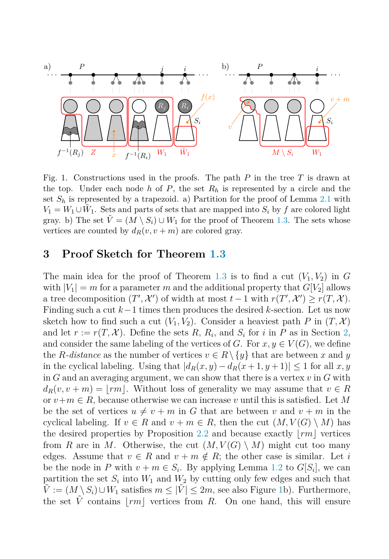<span id="page-6-0"></span>

Fig. 1. Constructions used in the proofs. The path *P* in the tree *T* is drawn at the top. Under each node *h* of *P*, the set  $R_h$  is represented by a circle and the set  $S_h$  is represented by a trapezoid. a) Partition for the proof of Lemma [2.1](#page-4-0) with  $V_1 = W_1 \cup \tilde{W}_1$ . Sets and parts of sets that are mapped into  $S_i$  by f are colored light gray. b) The set  $V = (M \setminus S_i) \cup W_1$  for the proof of Theorem [1.3.](#page-3-0) The sets whose vertices are counted by  $d_R(v, v + m)$  are colored gray.

## **3 Proof Sketch for Theorem [1.3](#page-3-0)**

The main idea for the proof of Theorem [1.3](#page-3-0) is to find a cut  $(V_1, V_2)$  in G with  $|V_1| = m$  for a parameter *m* and the additional property that  $G[V_2]$  allows a tree decomposition  $(T', \mathcal{X}')$  of width at most  $t - 1$  with  $r(T', \mathcal{X}') \ge r(T, \mathcal{X})$ . Finding such a cut *<sup>k</sup>*−1 times then produces the desired *<sup>k</sup>*-section. Let us now sketch how to find such a cut  $(V_1, V_2)$ . Consider a heaviest path P in  $(T, \mathcal{X})$ and let  $r := r(T, \mathcal{X})$ . Define the sets R, R<sub>*i*</sub>, and S<sub>*i*</sub> for *i* in P as in Section [2,](#page-4-0) and consider the same labeling of the vertices of *G*. For  $x, y \in V(G)$ , we define the *R*-distance as the number of vertices  $v \in R \setminus \{y\}$  that are between *x* and *y* in the cyclical labeling. Using that  $|d_R(x,y) - d_R(x+1,y+1)| \leq 1$  for all  $x, y$ in *G* and an averaging argument, we can show that there is a vertex *v* in *G* with  $d_R(v, v+m) = |rm|$ . Without loss of generality we may assume that  $v \in R$ or  $v+m \in R$ , because otherwise we can increase v until this is satisfied. Let M be the set of vertices  $u \neq v + m$  in G that are between v and  $v + m$  in the cyclical labeling. If  $v \in R$  and  $v + m \in R$ , then the cut  $(M, V(G) \setminus M)$  has the desired properties by Proposition [2.2](#page-5-0) and because exactly  $\vert rm \vert$  vertices from *R* are in *M*. Otherwise, the cut  $(M, V(G) \setminus M)$  might cut too many edges. Assume that  $v \in R$  and  $v + m \notin R$ ; the other case is similar. Let *i* be the node in *P* with  $v + m \in S_i$ . By applying Lemma [1.2](#page-3-0) to  $G[S_i]$ , we can partition the set  $S_i$  into  $W_1$  and  $W_2$  by cutting only few edges and such that  $\tilde{V} := (M \setminus S_i) \cup W_1$  satisfies  $m \leq |\tilde{V}| \leq 2m$ , see also Figure 1b). Furthermore, the set  $\tilde{V}$  contains  $\vert rm \vert$  vertices from *R*. On one hand, this will ensure